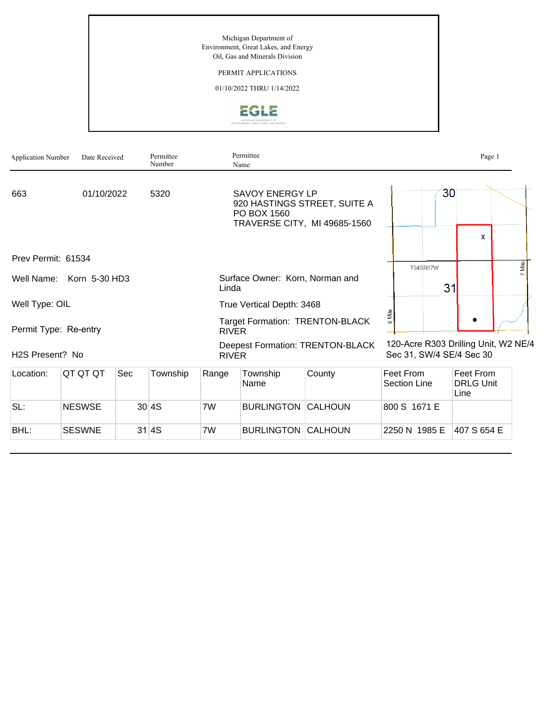Michigan Department of Environment, Great Lakes, and Energy Oil, Gas and Minerals Division

### PERMIT APPLICATIONS

01/10/2022 THRU 1/14/2022



| <b>Application Number</b> | Date Received            |            | Permittee<br>Number |                                                                                                       | Permittee<br>Name                                       |        |                                  |                                                                  | Page 1                                |      |
|---------------------------|--------------------------|------------|---------------------|-------------------------------------------------------------------------------------------------------|---------------------------------------------------------|--------|----------------------------------|------------------------------------------------------------------|---------------------------------------|------|
| 663                       | 01/10/2022               |            | 5320                | <b>SAVOY ENERGY LP</b><br>920 HASTINGS STREET, SUITE A<br>PO BOX 1560<br>TRAVERSE CITY, MI 49685-1560 |                                                         |        |                                  | 30                                                               |                                       |      |
|                           |                          |            |                     |                                                                                                       |                                                         |        |                                  |                                                                  | X                                     |      |
| Prev Permit: 61534        |                          |            |                     |                                                                                                       |                                                         |        |                                  | <b>T04SR07W</b>                                                  |                                       | Mile |
|                           | Well Name: Korn 5-30 HD3 |            |                     | Linda                                                                                                 | Surface Owner: Korn, Norman and                         |        | 31                               |                                                                  |                                       |      |
| Well Type: OIL            |                          |            |                     |                                                                                                       | True Vertical Depth: 3468                               |        |                                  |                                                                  |                                       |      |
| Permit Type: Re-entry     |                          |            |                     | <b>RIVER</b>                                                                                          | <b>Target Formation: TRENTON-BLACK</b>                  | 6 Mile |                                  |                                                                  |                                       |      |
| H2S Present? No           |                          |            |                     |                                                                                                       | <b>Deepest Formation: TRENTON-BLACK</b><br><b>RIVER</b> |        |                                  | 120-Acre R303 Drilling Unit, W2 NE/4<br>Sec 31, SW/4 SE/4 Sec 30 |                                       |      |
| Location:                 | QT QT QT                 | <b>Sec</b> | Township            | Range                                                                                                 | Township<br>Name                                        | County | Feet From<br><b>Section Line</b> |                                                                  | Feet From<br><b>DRLG Unit</b><br>Line |      |
| SL:                       | <b>NESWSE</b>            |            | 30 4S               | 7W                                                                                                    | <b>BURLINGTON CALHOUN</b>                               |        | 800 S 1671 E                     |                                                                  |                                       |      |
| BHL:                      | <b>SESWNE</b>            |            | 31 4S               | 7W                                                                                                    | <b>BURLINGTON CALHOUN</b>                               |        | 2250 N 1985 E                    |                                                                  | 407 S 654 E                           |      |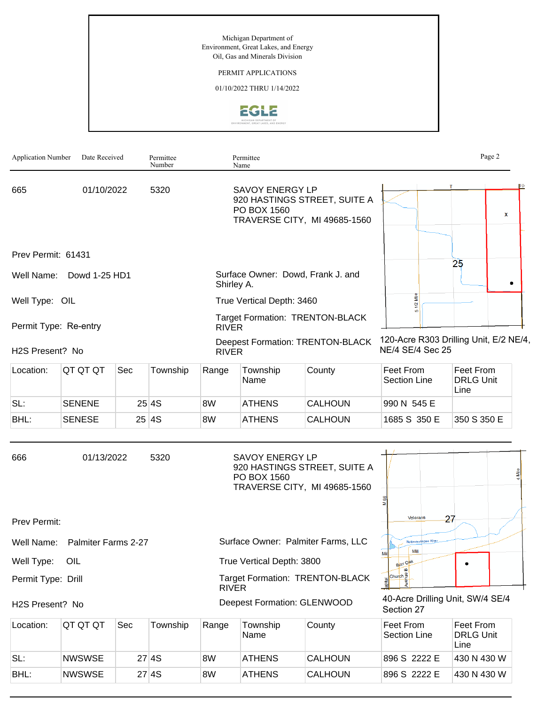Michigan Department of Environment, Great Lakes, and Energy Oil, Gas and Minerals Division

#### PERMIT APPLICATIONS

01/10/2022 THRU 1/14/2022



| <b>Application Number</b> | Date Received       |     | Permittee<br>Number |              | Permittee<br>Name                     |                                                              |                                                            | Page 2                                |
|---------------------------|---------------------|-----|---------------------|--------------|---------------------------------------|--------------------------------------------------------------|------------------------------------------------------------|---------------------------------------|
| 665<br>01/10/2022         |                     |     | 5320                |              | <b>SAVOY ENERGY LP</b><br>PO BOX 1560 | 920 HASTINGS STREET, SUITE A<br>TRAVERSE CITY, MI 49685-1560 |                                                            | X                                     |
| Prev Permit: 61431        |                     |     |                     |              |                                       |                                                              |                                                            |                                       |
| Well Name:                | Dowd 1-25 HD1       |     |                     | Shirley A.   |                                       | Surface Owner: Dowd, Frank J. and                            |                                                            | 25                                    |
| Well Type: OIL            |                     |     |                     |              | True Vertical Depth: 3460             |                                                              | ž<br>å                                                     |                                       |
| Permit Type: Re-entry     |                     |     |                     | <b>RIVER</b> |                                       | <b>Target Formation: TRENTON-BLACK</b>                       |                                                            |                                       |
| H2S Present? No           |                     |     |                     | <b>RIVER</b> |                                       | <b>Deepest Formation: TRENTON-BLACK</b>                      | 120-Acre R303 Drilling Unit, E/2 NE/4,<br>NE/4 SE/4 Sec 25 |                                       |
| Location:                 | QT QT QT            | Sec | Township            | Range        | Township<br>Name                      | County                                                       | Feet From<br><b>Section Line</b>                           | Feet From<br><b>DRLG Unit</b><br>Line |
| SL:                       | <b>SENENE</b>       |     | 25 4S               | 8W           | <b>ATHENS</b>                         | <b>CALHOUN</b>                                               | 990 N 545 E                                                |                                       |
| BHL:                      | <b>SENESE</b>       |     | 25 4S               | 8W           | <b>ATHENS</b>                         | <b>CALHOUN</b>                                               | 1685 S 350 E                                               | 350 S 350 E                           |
| 666                       | 01/13/2022          |     | 5320                |              | <b>SAVOY ENERGY LP</b><br>PO BOX 1560 | 920 HASTINGS STREET, SUITE A<br>TRAVERSE CITY, MI 49685-1560 |                                                            |                                       |
| Prev Permit:              |                     |     |                     |              |                                       |                                                              | Veterans                                                   | 27                                    |
| Well Name:                | Palmiter Farms 2-27 |     |                     |              |                                       | Surface Owner: Palmiter Farms, LLC                           | Nottawassepee River                                        |                                       |
| Well Type:                | OIL                 |     |                     |              | True Vertical Depth: 3800             |                                                              | Mill<br>Mil<br>Burr Oak                                    |                                       |
| Permit Type: Drill        |                     |     |                     | <b>RIVER</b> |                                       | <b>Target Formation: TRENTON-BLACK</b>                       | Church <sup>e</sup><br>apital<br>$\frac{8}{5}$             |                                       |
| H2S Present? No           |                     |     |                     |              | <b>Deepest Formation: GLENWOOD</b>    |                                                              | 40-Acre Drilling Unit, SW/4 SE/4<br>Section 27             |                                       |
| Location:                 | QT QT QT            | Sec | Township            | Range        | Township<br>Name                      | County                                                       | Feet From<br><b>Section Line</b>                           | Feet From<br><b>DRLG Unit</b><br>Line |
| SL:                       | <b>NWSWSE</b>       |     | 27 4S               | 8W           | <b>ATHENS</b>                         | <b>CALHOUN</b>                                               | 896 S 2222 E                                               | 430 N 430 W                           |
| BHL:                      | <b>NWSWSE</b>       |     | 27 4S               | 8W           | <b>ATHENS</b>                         | CALHOUN                                                      | 896 S 2222 E                                               | 430 N 430 W                           |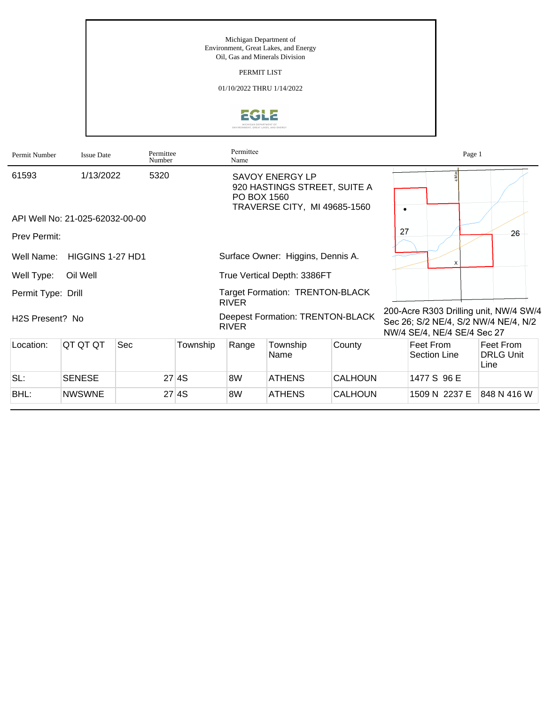#### Michigan Department of Environment, Great Lakes, and Energy Oil, Gas and Minerals Division

PERMIT LIST

01/10/2022 THRU 1/14/2022



| Permit Number      | <b>Issue Date</b>               | Permittee<br>Number |          | Permittee<br>Name                                       |                                                        |                              |                                                                                                               | Page 1                                |  |
|--------------------|---------------------------------|---------------------|----------|---------------------------------------------------------|--------------------------------------------------------|------------------------------|---------------------------------------------------------------------------------------------------------------|---------------------------------------|--|
| 61593              | 1/13/2022                       | 5320                |          | PO BOX 1560                                             | <b>SAVOY ENERGY LP</b><br>TRAVERSE CITY, MI 49685-1560 | 920 HASTINGS STREET, SUITE A | $\bullet$                                                                                                     |                                       |  |
|                    | API Well No: 21-025-62032-00-00 |                     |          |                                                         |                                                        |                              |                                                                                                               |                                       |  |
| Prev Permit:       |                                 |                     |          |                                                         |                                                        |                              | 27                                                                                                            | 26                                    |  |
| Well Name:         | HIGGINS 1-27 HD1                |                     |          |                                                         | Surface Owner: Higgins, Dennis A.                      |                              | $\boldsymbol{\mathsf{x}}$                                                                                     |                                       |  |
| Well Type:         | Oil Well                        |                     |          |                                                         | True Vertical Depth: 3386FT                            |                              |                                                                                                               |                                       |  |
| Permit Type: Drill |                                 |                     |          | <b>RIVER</b>                                            | <b>Target Formation: TRENTON-BLACK</b>                 |                              |                                                                                                               |                                       |  |
| H2S Present? No    |                                 |                     |          | <b>Deepest Formation: TRENTON-BLACK</b><br><b>RIVER</b> |                                                        |                              | 200-Acre R303 Drilling unit, NW/4 SW/4<br>Sec 26; S/2 NE/4, S/2 NW/4 NE/4, N/2<br>NW/4 SE/4, NE/4 SE/4 Sec 27 |                                       |  |
| Location:          | QT QT QT                        | Sec                 | Township | Range                                                   | Township<br>Name                                       | County                       | Feet From<br>Section Line                                                                                     | Feet From<br><b>DRLG Unit</b><br>Line |  |
| SL:                | <b>SENESE</b>                   |                     | 27 4S    | 8W                                                      | <b>ATHENS</b>                                          | <b>CALHOUN</b>               | 1477 S 96 E                                                                                                   |                                       |  |
| BHL:               | <b>NWSWNE</b>                   |                     | 27 4S    | 8W                                                      | <b>ATHENS</b>                                          | CALHOUN                      | 1509 N 2237 E                                                                                                 | 848 N 416 W                           |  |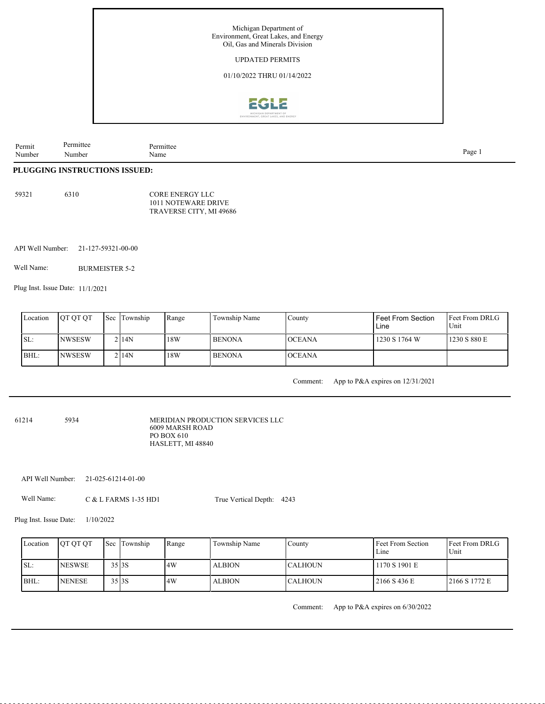

| Permit         | анге  | $\ldots$ mitte $\sim$ |      |
|----------------|-------|-----------------------|------|
| Number<br>____ | Numb∈ | Name                  | Page |

#### **PLUGGING INSTRUCTIONS ISSUED:**

| 59321 | 6310 | CORE ENERGY LLC         |
|-------|------|-------------------------|
|       |      | 1011 NOTEWARE DRIVE     |
|       |      | TRAVERSE CITY, MI 49686 |

API Well Number: 21-127-59321-00-00

Well Name: BURMEISTER 5-2

Plug Inst. Issue Date: 11/1/2021

| Location | <b>OT OT OT</b> | Sec | Township | Range | Township Name | County        | <b>Feet From Section</b><br>Line | <b>Feet From DRLG</b><br>Unit |
|----------|-----------------|-----|----------|-------|---------------|---------------|----------------------------------|-------------------------------|
| SL:      | INWSESW         |     | 2 I 14 N | 18W   | <b>BENONA</b> | <b>OCEANA</b> | 1230 S 1764 W                    | 1230 S 880 E                  |
| BHL:     | INWSESW         |     | $2$  14N | 18W   | l BENONA      | <b>OCEANA</b> |                                  |                               |

Comment: App to P&A expires on 12/31/2021

61214 5934

MERIDIAN PRODUCTION SERVICES LLC 6009 MARSH ROAD PO BOX 610 HASLETT, MI 48840

API Well Number: 21-025-61214-01-00

Well Name: C & L FARMS 1-35 HD1 True Vertical Depth: 4243

Plug Inst. Issue Date: 1/10/2022

| Location | <b>OT OT OT</b> |       | <b>Sec Township</b> | Range | Township Name | County          | Feet From Section<br>Line | Feet From DRLG<br>Unit |
|----------|-----------------|-------|---------------------|-------|---------------|-----------------|---------------------------|------------------------|
| SL:      | <b>NESWSE</b>   | 35 3S |                     | .4W   | <b>ALBION</b> | <b>ICALHOUN</b> | 1170 S 1901 E             |                        |
| BHL:     | <b>NENESE</b>   | 35 3S |                     | 4W    | <b>ALBION</b> | <b>CALHOUN</b>  | 2166 S 436 E              | 2166 S 1772 E          |

Comment: App to P&A expires on 6/30/2022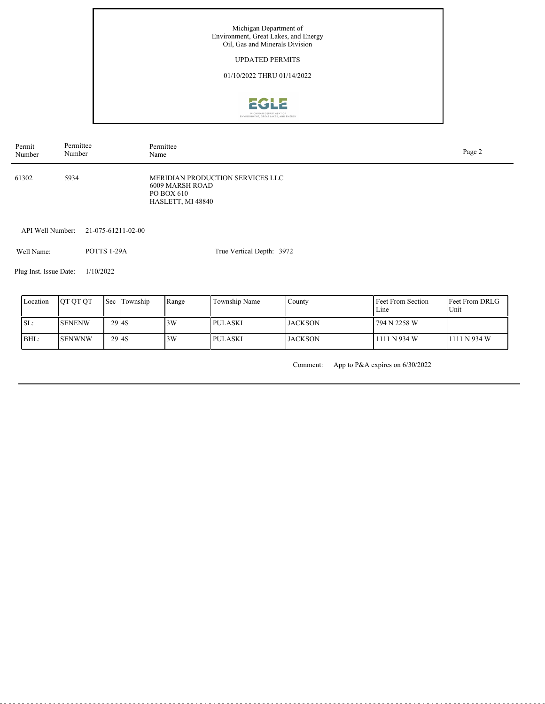Michigan Department of Environment, Great Lakes, and Energy Oil, Gas and Minerals Division UPDATED PERMITS

# 01/10/2022 THRU 01/14/2022



| Permit | Permittee | Permittee                                                                              | Page 2 |
|--------|-----------|----------------------------------------------------------------------------------------|--------|
| Number | Number    | Name                                                                                   |        |
| 61302  | 5934      | MERIDIAN PRODUCTION SERVICES LLC<br>6009 MARSH ROAD<br>PO BOX 610<br>HASLETT, MI 48840 |        |

API Well Number: 21-075-61211-02-00

POTTS 1-29A Well Name:

True Vertical Depth: 3972

Plug Inst. Issue Date: 1/10/2022

| Location | <b>OT OT OT</b> |                   | Sec Township | Range | Township Name | County          | Feet From Section<br>Line | <b>Feet From DRLG</b><br>Unit |
|----------|-----------------|-------------------|--------------|-------|---------------|-----------------|---------------------------|-------------------------------|
| SL:      | <b>SENENW</b>   | 29 <sub>14S</sub> |              | 3W    | PULASKI       | <b>JACKSON</b>  | 794 N 2258 W              |                               |
| BHL:     | <b>I</b> SENWNW | 29 <sub>14S</sub> |              | 3W    | PULASKI       | <b>IJACKSON</b> | 1111 N 934 W              | 1111 N 934 W                  |

Comment: App to P&A expires on 6/30/2022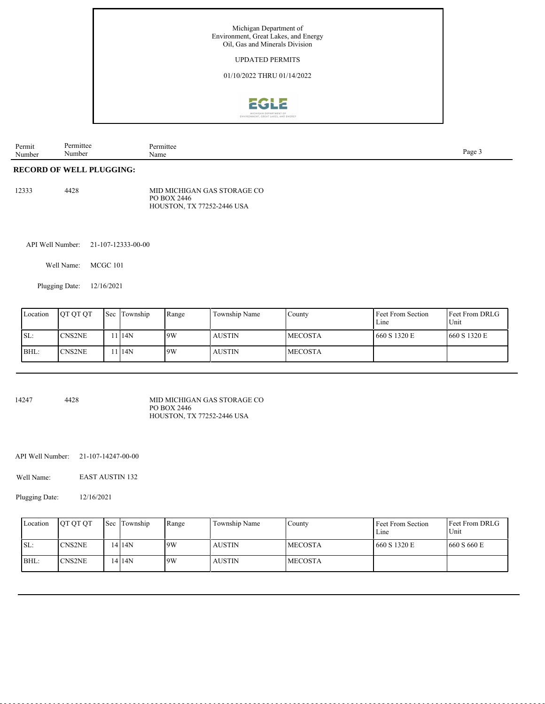

| Permit<br>Number<br>. <b>.</b> | mute<br>.umbe | muk<br>Name | $-200F$ |
|--------------------------------|---------------|-------------|---------|
|                                |               |             |         |

#### **RECORD OF WELL PLUGGING:**

| 12333 | 4428 | MID MICHIGAN GAS STORAGE CO |
|-------|------|-----------------------------|
|       |      | PO BOX 2446                 |
|       |      | HOUSTON, TX 77252-2446 USA  |

API Well Number: 21-107-12333-00-00

Well Name: MCGC 101

Plugging Date: 12/16/2021

|      | Location | <b>OT OT OT</b> | <b>Sec Township</b> | Range | Township Name | Countv         | Feet From Section<br>Line | <b>Feet From DRLG</b><br>Unit |
|------|----------|-----------------|---------------------|-------|---------------|----------------|---------------------------|-------------------------------|
| ISL: |          | <b>CNS2NE</b>   | 114N                | 19W   | <b>AUSTIN</b> | <b>MECOSTA</b> | 660 S 1320 E              | 1660 S 1320 E                 |
| BHL: |          | <b>CNS2NE</b>   | 114N                | 9W    | <b>AUSTIN</b> | <b>MECOSTA</b> |                           |                               |

14247 4428 MID MICHIGAN GAS STORAGE CO PO BOX 2446 HOUSTON, TX 77252-2446 USA

API Well Number: 21-107-14247-00-00

EAST AUSTIN 132 Well Name:

Plugging Date: 12/16/2021

| Location | <b>OT OT OT</b> | <b>Sec</b> Township | Range | Township Name | Countv          | Feet From Section<br>Line | <b>Feet From DRLG</b><br>Unit |
|----------|-----------------|---------------------|-------|---------------|-----------------|---------------------------|-------------------------------|
| ISL:     | <b>CNS2NE</b>   | 14 14 N             | 9W    | <b>AUSTIN</b> | <b>IMECOSTA</b> | 1660 S 1320 E             | 1660 S 660 E                  |
| BHL:     | 'CNS2NE         | 14 14N              | 19W   | <b>AUSTIN</b> | <b>IMECOSTA</b> |                           |                               |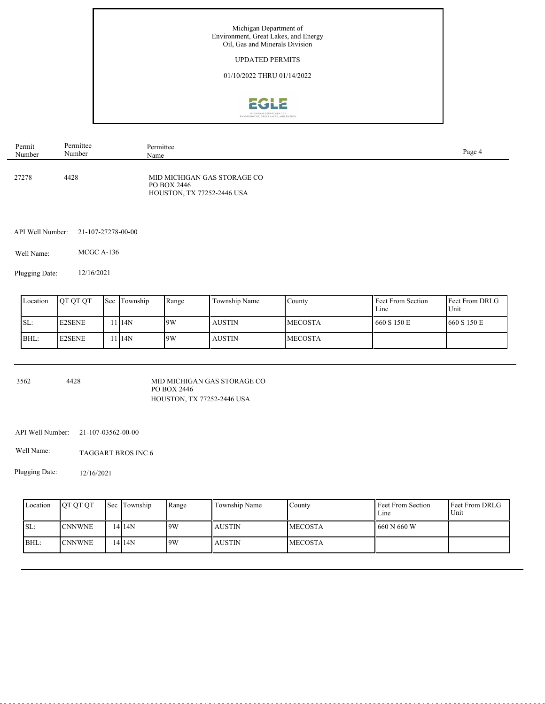

| Permit | Permittee | Permittee                                                                | Page 4 |
|--------|-----------|--------------------------------------------------------------------------|--------|
| Number | Number    | Name                                                                     |        |
| 27278  | 4428      | MID MICHIGAN GAS STORAGE CO<br>PO BOX 2446<br>HOUSTON, TX 77252-2446 USA |        |

API Well Number: 21-107-27278-00-00

Well Name: MCGC A-136

Plugging Date: 12/16/2021

| Location | <b>OT OT OT</b> | <b>Sec Township</b> | Range | Township Name | County          | Feet From Section<br>Line | <b>Feet From DRLG</b><br>Unit |
|----------|-----------------|---------------------|-------|---------------|-----------------|---------------------------|-------------------------------|
| ISL:     | <b>E2SENE</b>   | 1 1 1 4 N           | 9W    | <b>AUSTIN</b> | <b>IMECOSTA</b> | 1660 S 150 E              | 1660 S 150 E                  |
| BHL:     | <b>E2SENE</b>   | 114N                | 19W   | <b>AUSTIN</b> | <b>IMECOSTA</b> |                           |                               |

3562 4428

MID MICHIGAN GAS STORAGE CO PO BOX 2446 HOUSTON, TX 77252-2446 USA

API Well Number: 21-107-03562-00-00

Well Name: TAGGART BROS INC 6

Plugging Date: 12/16/2021

| Location | <b>OT OT OT</b> | Sec Township | Range | Township Name | Countv          | Feet From Section<br>Line | <b>Feet From DRLG</b><br>Unit |
|----------|-----------------|--------------|-------|---------------|-----------------|---------------------------|-------------------------------|
| ISL:     | <b>CNNWNE</b>   | 14 I 14 N    | 9W    | <b>AUSTIN</b> | <b>IMECOSTA</b> | 1660 N 660 W              |                               |
| BHL:     | <b>CNNWNE</b>   | 14 I 14 N    | 9W    | <b>AUSTIN</b> | <b>IMECOSTA</b> |                           |                               |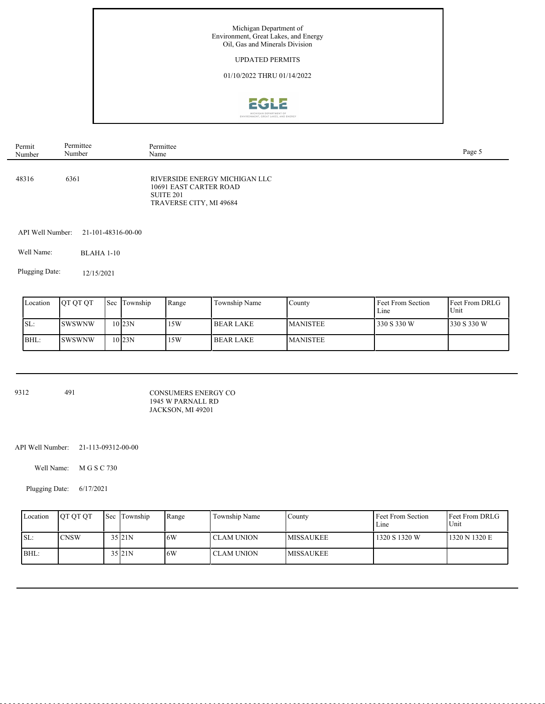

| Permit | Permittee | Permittee                                                                                                  | Page 5 |
|--------|-----------|------------------------------------------------------------------------------------------------------------|--------|
| Number | Number    | Name                                                                                                       |        |
| 48316  | 6361      | RIVERSIDE ENERGY MICHIGAN LLC<br>10691 EAST CARTER ROAD<br>SUITE <sub>201</sub><br>TRAVERSE CITY, MI 49684 |        |

API Well Number: 21-101-48316-00-00

Well Name: BLAHA 1-10

Plugging Date: 12/15/2021

| Location | <b>OT OT OT</b> | <b>Sec Township</b> | Range | Township Name    | Countv          | Feet From Section<br>Line | <b>Feet From DRLG</b><br>Unit |
|----------|-----------------|---------------------|-------|------------------|-----------------|---------------------------|-------------------------------|
| SL:      | <b>ISWSWNW</b>  | $10$ <sub>23N</sub> | 15W   | <b>BEAR LAKE</b> | <b>MANISTEE</b> | 330 S 330 W               | 330 S 330 W                   |
| BHL:     | <b>ISWSWNW</b>  | $10$ <sub>23N</sub> | 15W   | <b>BEAR LAKE</b> | <b>MANISTEE</b> |                           |                               |

9312 491

CONSUMERS ENERGY CO 1945 W PARNALL RD JACKSON, MI 49201

API Well Number: 21-113-09312-00-00

Well Name: M G S C 730

Plugging Date: 6/17/2021

| Location | <b>IOT OT OT</b> | <b>Sec Township</b> | Range | Township Name | County            | Feet From Section<br>Line | <b>IFeet From DRLG</b><br>Unit |
|----------|------------------|---------------------|-------|---------------|-------------------|---------------------------|--------------------------------|
| ISL:     | ICNSW            | 35 21N              | .6W   | CLAM UNION    | <b>IMISSAUKEE</b> | 1320 S 1320 W             | 1320 N 1320 E                  |
| BHL:     |                  | $35$ <sub>21N</sub> | 6W    | CLAM UNION    | <b>IMISSAUKEE</b> |                           |                                |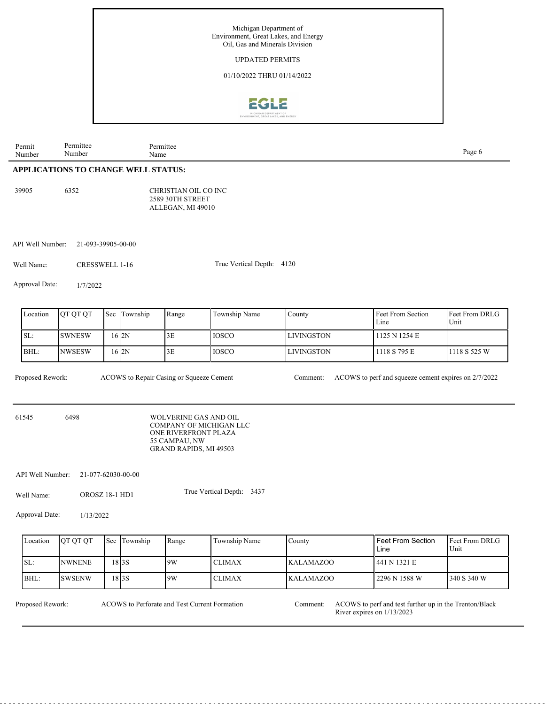

## **APPLICATIONS TO CHANGE WELL STATUS:**

| 39905 | 6352 | CHRISTIAN OIL CO INC    |
|-------|------|-------------------------|
|       |      | <b>2589 30TH STREET</b> |
|       |      | ALLEGAN, MI 49010       |

API Well Number: 21-093-39905-00-00

Well Name: CRESSWELL 1-16

True Vertical Depth: 4120

Approval Date: 1/7/2022

| Location | <b>IOT OT OT</b> | Sec | Township | Range | Township Name | County             | <b>Feet From Section</b><br>Line | <b>IFeet From DRLG</b><br>Unit |
|----------|------------------|-----|----------|-------|---------------|--------------------|----------------------------------|--------------------------------|
| SL:      | ISWNESW          |     | 16 2N    | 3E    | l IOSCO-      | <b>ILIVINGSTON</b> | 1125 N 1254 E                    |                                |
| BHL:     | INWSESW          |     | 16 2N    | 3E    | <b>IOSCO</b>  | <b>ILIVINGSTON</b> | 1118 S 795 E                     | 1118 S 525 W                   |

ACOWS to Repair Casing or Squeeze Cement

Proposed Rework: ACOWS to Repair Casing or Squeeze Cement Comment: ACOWS to perf and squeeze cement expires on 2/7/2022

61545 6498

Permit Number

> WOLVERINE GAS AND OIL COMPANY OF MICHIGAN LLC ONE RIVERFRONT PLAZA 55 CAMPAU, NW GRAND RAPIDS, MI 49503

API Well Number: 21-077-62030-00-00

Well Name: OROSZ 18-1 HD1 True Vertical Depth: 3437

Approval Date: 1/13/2022

| Location | <b>OT OT OT</b> | <b>Sec</b> Township | Range | Township Name | County           | <b>I</b> Feet From Section<br>Line | <b>Feet From DRLG</b><br>Unit |
|----------|-----------------|---------------------|-------|---------------|------------------|------------------------------------|-------------------------------|
| ISL:     | <b>NWNENE</b>   | 18 I 3 S            | 9W    | <b>CLIMAX</b> | <b>KALAMAZOO</b> | 441 N 1321 E                       |                               |
| BHL:     | <b>SWSENW</b>   | 18 I 3 S            | 9W    | <b>CLIMAX</b> | <b>KALAMAZOO</b> | 2296 N 1588 W                      | 340 S 340 W                   |

ACOWS to Perforate and Test Current Formation

Proposed Rework: ACOWS to Perforate and Test Current Formation Comment: ACOWS to perf and test further up in the Trenton/Black River expires on 1/13/2023 Comment: